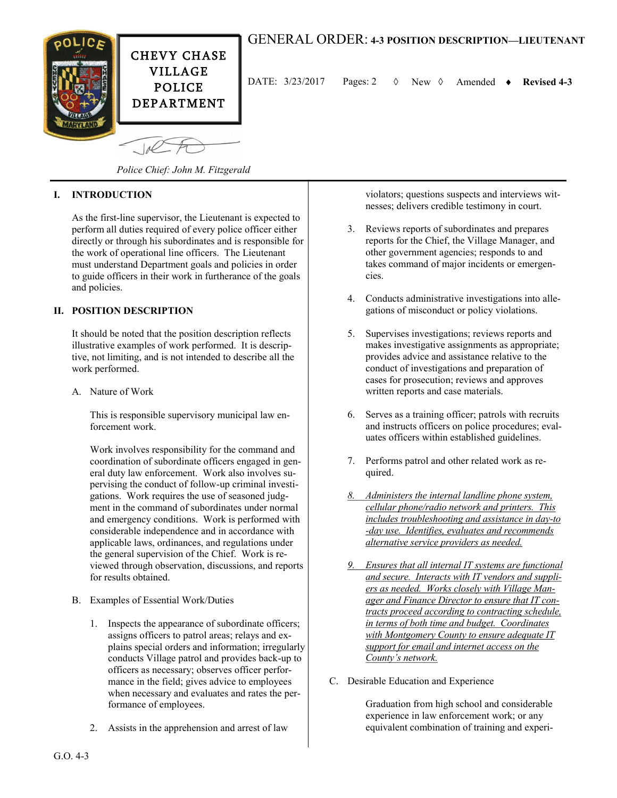

 $1/4$ 

## GENERAL ORDER: **4-3 POSITION DESCRIPTION—LIEUTENANT**

DATE: 3/23/2017 Pages: 2 New Amended **Revised 4-3**

*Police Chief: John M. Fitzgerald*

## **I. INTRODUCTION**

As the first-line supervisor, the Lieutenant is expected to perform all duties required of every police officer either directly or through his subordinates and is responsible for the work of operational line officers. The Lieutenant must understand Department goals and policies in order to guide officers in their work in furtherance of the goals and policies.

## **II. POSITION DESCRIPTION**

It should be noted that the position description reflects illustrative examples of work performed. It is descriptive, not limiting, and is not intended to describe all the work performed.

A. Nature of Work

This is responsible supervisory municipal law enforcement work.

Work involves responsibility for the command and coordination of subordinate officers engaged in general duty law enforcement. Work also involves supervising the conduct of follow-up criminal investigations. Work requires the use of seasoned judgment in the command of subordinates under normal and emergency conditions. Work is performed with considerable independence and in accordance with applicable laws, ordinances, and regulations under the general supervision of the Chief. Work is reviewed through observation, discussions, and reports for results obtained.

- B. Examples of Essential Work/Duties
	- 1. Inspects the appearance of subordinate officers; assigns officers to patrol areas; relays and explains special orders and information; irregularly conducts Village patrol and provides back-up to officers as necessary; observes officer performance in the field; gives advice to employees when necessary and evaluates and rates the performance of employees.
	- 2. Assists in the apprehension and arrest of law

violators; questions suspects and interviews witnesses; delivers credible testimony in court.

- 3. Reviews reports of subordinates and prepares reports for the Chief, the Village Manager, and other government agencies; responds to and takes command of major incidents or emergencies.
- 4. Conducts administrative investigations into allegations of misconduct or policy violations.
- 5. Supervises investigations; reviews reports and makes investigative assignments as appropriate; provides advice and assistance relative to the conduct of investigations and preparation of cases for prosecution; reviews and approves written reports and case materials.
- 6. Serves as a training officer; patrols with recruits and instructs officers on police procedures; evaluates officers within established guidelines.
- 7. Performs patrol and other related work as required.
- *8. Administers the internal landline phone system, cellular phone/radio network and printers. This includes troubleshooting and assistance in day-to -day use. Identifies, evaluates and recommends alternative service providers as needed.*
- *9. Ensures that all internal IT systems are functional and secure. Interacts with IT vendors and suppliers as needed. Works closely with Village Manager and Finance Director to ensure that IT contracts proceed according to contracting schedule, in terms of both time and budget. Coordinates with Montgomery County to ensure adequate IT support for email and internet access on the County's network.*
- C. Desirable Education and Experience

Graduation from high school and considerable experience in law enforcement work; or any equivalent combination of training and experi-